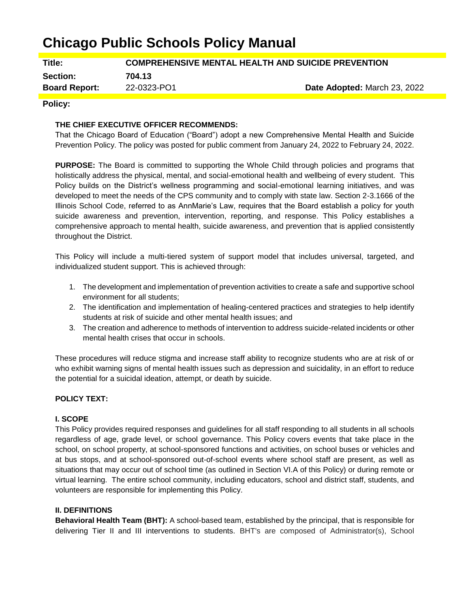# **Chicago Public Schools Policy Manual**

**Title: COMPREHENSIVE MENTAL HEALTH AND SUICIDE PREVENTION**

**Section: 704.13**

**Board Report:** 22-0323-PO1 **Date Adopted:** March 23, 2022

## **Policy:**

## **THE CHIEF EXECUTIVE OFFICER RECOMMENDS:**

That the Chicago Board of Education ("Board") adopt a new Comprehensive Mental Health and Suicide Prevention Policy. The policy was posted for public comment from January 24, 2022 to February 24, 2022.

**PURPOSE:** The Board is committed to supporting the Whole Child through policies and programs that holistically address the physical, mental, and social-emotional health and wellbeing of every student. This Policy builds on the District's wellness programming and social-emotional learning initiatives, and was developed to meet the needs of the CPS community and to comply with state law. Section 2-3.1666 of the Illinois School Code, referred to as AnnMarie's Law, requires that the Board establish a policy for youth suicide awareness and prevention, intervention, reporting, and response. This Policy establishes a comprehensive approach to mental health, suicide awareness, and prevention that is applied consistently throughout the District.

This Policy will include a multi-tiered system of support model that includes universal, targeted, and individualized student support. This is achieved through:

- 1. The development and implementation of prevention activities to create a safe and supportive school environment for all students;
- 2. The identification and implementation of healing-centered practices and strategies to help identify students at risk of suicide and other mental health issues; and
- 3. The creation and adherence to methods of intervention to address suicide-related incidents or other mental health crises that occur in schools.

These procedures will reduce stigma and increase staff ability to recognize students who are at risk of or who exhibit warning signs of mental health issues such as depression and suicidality, in an effort to reduce the potential for a suicidal ideation, attempt, or death by suicide.

## **POLICY TEXT:**

## **I. SCOPE**

This Policy provides required responses and guidelines for all staff responding to all students in all schools regardless of age, grade level, or school governance. This Policy covers events that take place in the school, on school property, at school-sponsored functions and activities, on school buses or vehicles and at bus stops, and at school-sponsored out-of-school events where school staff are present, as well as situations that may occur out of school time (as outlined in Section VI.A of this Policy) or during remote or virtual learning. The entire school community, including educators, school and district staff, students, and volunteers are responsible for implementing this Policy.

#### **II. DEFINITIONS**

**Behavioral Health Team (BHT):** A school-based team, established by the principal, that is responsible for delivering Tier II and III interventions to students. BHT's are composed of Administrator(s), School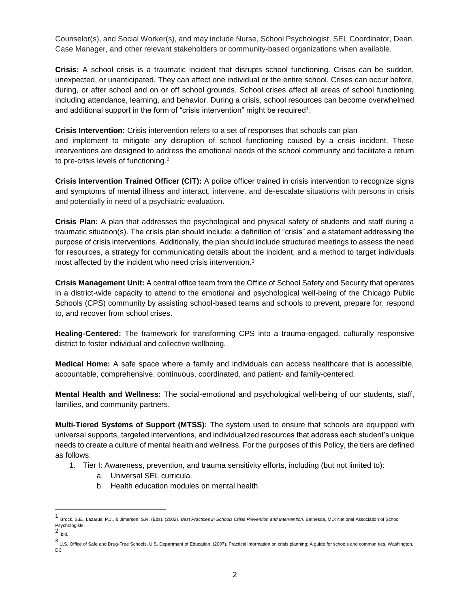Counselor(s), and Social Worker(s), and may include Nurse, School Psychologist, SEL Coordinator, Dean, Case Manager, and other relevant stakeholders or community-based organizations when available.

**Crisis:** A school crisis is a traumatic incident that disrupts school functioning. Crises can be sudden, unexpected, or unanticipated. They can affect one individual or the entire school. Crises can occur before, during, or after school and on or off school grounds. School crises affect all areas of school functioning including attendance, learning, and behavior. During a crisis, school resources can become overwhelmed and additional support in the form of "crisis intervention" might be required<sup>1</sup>.

**Crisis Intervention:** Crisis intervention refers to a set of responses that schools can plan

and implement to mitigate any disruption of school functioning caused by a crisis incident. These interventions are designed to address the emotional needs of the school community and facilitate a return to pre-crisis levels of functioning.<sup>2</sup>

**Crisis Intervention Trained Officer (CIT):** A police officer trained in crisis intervention to recognize signs and symptoms of mental illness and interact, intervene, and de-escalate situations with persons in crisis and potentially in need of a psychiatric evaluation**.**

**Crisis Plan:** A plan that addresses the psychological and physical safety of students and staff during a traumatic situation(s). The crisis plan should include: a definition of "crisis" and a statement addressing the purpose of crisis interventions. Additionally, the plan should include structured meetings to assess the need for resources, a strategy for communicating details about the incident, and a method to target individuals most affected by the incident who need crisis intervention.<sup>3</sup>

**Crisis Management Unit:** A central office team from the Office of School Safety and Security that operates in a district-wide capacity to attend to the emotional and psychological well-being of the Chicago Public Schools (CPS) community by assisting school-based teams and schools to prevent, prepare for, respond to, and recover from school crises.

**Healing-Centered:** The framework for transforming CPS into a trauma-engaged, culturally responsive district to foster individual and collective wellbeing.

**Medical Home:** A safe space where a family and individuals can access healthcare that is accessible, accountable, comprehensive, continuous, coordinated, and patient- and family-centered.

**Mental Health and Wellness:** The social-emotional and psychological well-being of our students, staff, families, and community partners.

**Multi-Tiered Systems of Support (MTSS):** The system used to ensure that schools are equipped with universal supports, targeted interventions, and individualized resources that address each student's unique needs to create a culture of mental health and wellness. For the purposes of this Policy, the tiers are defined as follows:

- 1. Tier I: Awareness, prevention, and trauma sensitivity efforts, including (but not limited to):
	- a. Universal SEL curricula.
	- b. Health education modules on mental health.

<sup>1</sup> Brock, S.E., Lazarus, P.J., & Jimerson, S.R. (Eds). (2002). *Best Practices in Schools Crisis Prevention and Intervention.* Bethesda, MD: National Association of School Psychologists.

<sup>2&</sup>lt;br>Ibid.

<sup>3</sup> U.S. Office of Safe and Drug-Free Schools, U.S. Department of Education. (2007). Practical information on crisis planning: A guide for schools and communities. Washington, DC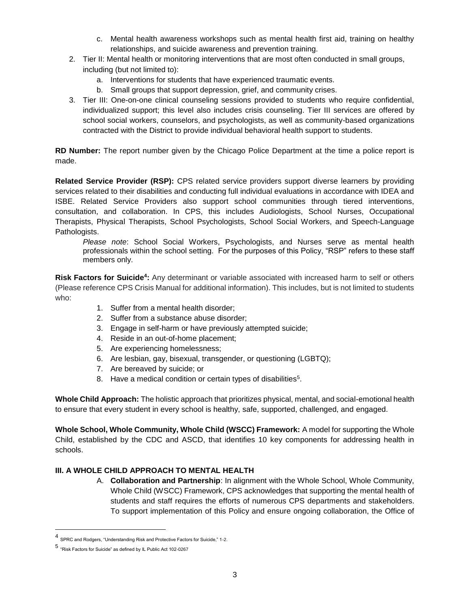- c. Mental health awareness workshops such as mental health first aid, training on healthy relationships, and suicide awareness and prevention training.
- 2. Tier II: Mental health or monitoring interventions that are most often conducted in small groups, including (but not limited to):
	- a. Interventions for students that have experienced traumatic events.
	- b. Small groups that support depression, grief, and community crises.
- 3. Tier III: One-on-one clinical counseling sessions provided to students who require confidential, individualized support; this level also includes crisis counseling. Tier III services are offered by school social workers, counselors, and psychologists, as well as community-based organizations contracted with the District to provide individual behavioral health support to students.

**RD Number:** The report number given by the Chicago Police Department at the time a police report is made.

**Related Service Provider (RSP):** CPS related service providers support diverse learners by providing services related to their disabilities and conducting full individual evaluations in accordance with IDEA and ISBE. Related Service Providers also support school communities through tiered interventions, consultation, and collaboration. In CPS, this includes Audiologists, School Nurses, Occupational Therapists, Physical Therapists, School Psychologists, School Social Workers, and Speech-Language Pathologists.

*Please note*: School Social Workers, Psychologists, and Nurses serve as mental health professionals within the school setting. For the purposes of this Policy, "RSP" refers to these staff members only.

**Risk Factors for Suicide<sup>4</sup> :** Any determinant or variable associated with increased harm to self or others (Please reference CPS Crisis Manual for additional information). This includes, but is not limited to students who:

- 1. Suffer from a mental health disorder;
- 2. Suffer from a substance abuse disorder;
- 3. Engage in self-harm or have previously attempted suicide;
- 4. Reside in an out-of-home placement;
- 5. Are experiencing homelessness;
- 6. Are lesbian, gay, bisexual, transgender, or questioning (LGBTQ);
- 7. Are bereaved by suicide; or
- 8. Have a medical condition or certain types of disabilities<sup>5</sup>.

**Whole Child Approach:** The holistic approach that prioritizes physical, mental, and social-emotional health to ensure that every student in every school is healthy, safe, supported, challenged, and engaged.

**Whole School, Whole Community, Whole Child (WSCC) Framework:** A model for supporting the Whole Child, established by the CDC and ASCD, that identifies 10 key components for addressing health in schools.

## **III. A WHOLE CHILD APPROACH TO MENTAL HEALTH**

A. **Collaboration and Partnership**: In alignment with the Whole School, Whole Community, Whole Child (WSCC) Framework, CPS acknowledges that supporting the mental health of students and staff requires the efforts of numerous CPS departments and stakeholders. To support implementation of this Policy and ensure ongoing collaboration, the Office of

 $\overline{a}$ 

<sup>4</sup> SPRC and Rodgers, "Understanding Risk and Protective Factors for Suicide," 1-2.

<sup>5</sup> "Risk Factors for Suicide" as defined by IL Public Act 102-0267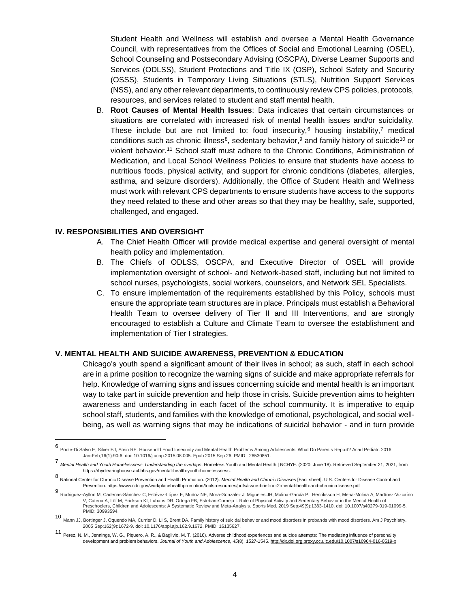Student Health and Wellness will establish and oversee a Mental Health Governance Council, with representatives from the Offices of Social and Emotional Learning (OSEL), School Counseling and Postsecondary Advising (OSCPA), Diverse Learner Supports and Services (ODLSS), Student Protections and Title IX (OSP), School Safety and Security (OSSS), Students in Temporary Living Situations (STLS), Nutrition Support Services (NSS), and any other relevant departments, to continuously review CPS policies, protocols, resources, and services related to student and staff mental health.

B. **Root Causes of Mental Health Issues**: Data indicates that certain circumstances or situations are correlated with increased risk of mental health issues and/or suicidality. These include but are not limited to: food insecurity, $6$  housing instability, $7$  medical conditions such as chronic illness<sup>8</sup>, sedentary behavior,<sup>9</sup> and family history of suicide<sup>10</sup> or violent behavior.<sup>11</sup> School staff must adhere to the Chronic Conditions, Administration of Medication, and Local School Wellness Policies to ensure that students have access to nutritious foods, physical activity, and support for chronic conditions (diabetes, allergies, asthma, and seizure disorders). Additionally, the Office of Student Health and Wellness must work with relevant CPS departments to ensure students have access to the supports they need related to these and other areas so that they may be healthy, safe, supported, challenged, and engaged.

### **IV. RESPONSIBILITIES AND OVERSIGHT**

- A. The Chief Health Officer will provide medical expertise and general oversight of mental health policy and implementation.
- B. The Chiefs of ODLSS, OSCPA, and Executive Director of OSEL will provide implementation oversight of school- and Network-based staff, including but not limited to school nurses, psychologists, social workers, counselors, and Network SEL Specialists.
- C. To ensure implementation of the requirements established by this Policy, schools must ensure the appropriate team structures are in place. Principals must establish a Behavioral Health Team to oversee delivery of Tier II and III Interventions, and are strongly encouraged to establish a Culture and Climate Team to oversee the establishment and implementation of Tier I strategies.

#### **V. MENTAL HEALTH AND SUICIDE AWARENESS, PREVENTION & EDUCATION**

Chicago's youth spend a significant amount of their lives in school; as such, staff in each school are in a prime position to recognize the warning signs of suicide and make appropriate referrals for help. Knowledge of warning signs and issues concerning suicide and mental health is an important way to take part in suicide prevention and help those in crisis. Suicide prevention aims to heighten awareness and understanding in each facet of the school community. It is imperative to equip school staff, students, and families with the knowledge of emotional, psychological, and social wellbeing, as well as warning signs that may be indications of suicidal behavior - and in turn provide

 6 Poole-Di Salvo E, Silver EJ, Stein RE. Household Food Insecurity and Mental Health Problems Among Adolescents: What Do Parents Report? Acad Pediatr. 2016 Jan-Feb;16(1):90-6. doi: 10.1016/j.acap.2015.08.005. Epub 2015 Sep 26. PMID: 26530851.

<sup>7</sup> *Mental Health and Youth Homelessness: Understanding the overlaps*. Homeless Youth and Mental Health | NCHYF. (2020, June 18). Retrieved September 21, 2021, from https://rhyclearinghouse.acf.hhs.gov/mental-health-youth-homelessness.

<sup>8</sup> National Center for Chronic Disease Prevention and Health Promotion. (2012). *Mental Health and Chronic Diseases* [Fact sheet]. U.S. Centers for Disease Control and Prevention. https://www.cdc.gov/workplacehealthpromotion/tools-resources/pdfs/issue-brief-no-2-mental-health-and-chronic-disease.pdf

<sup>9</sup> Rodriguez-Ayllon M, Cadenas-Sánchez C, Estévez-López F, Muñoz NE, Mora-Gonzalez J, Migueles JH, Molina-García P, Henriksson H, Mena-Molina A, Martínez-Vizcaíno V, Catena A, Löf M, Erickson KI, Lubans DR, Ortega FB, Esteban-Cornejo I. Role of Physical Activity and Sedentary Behavior in the Mental Health of Preschoolers, Children and Adolescents: A Systematic Review and Meta-Analysis. Sports Med. 2019 Sep;49(9):1383-1410. doi: 10.1007/s40279-019-01099-5. PMID: 30993594.

<sup>10</sup> Mann JJ, Bortinger J, Oquendo MA, Currier D, Li S, Brent DA. Family history of suicidal behavior and mood disorders in probands with mood disorders. Am J Psychiatry. 2005 Sep;162(9):1672-9. doi: 10.1176/appi.ajp.162.9.1672. PMID: 16135627.

<sup>11</sup> Perez, N. M., Jennings, W. G., Piquero, A. R., & Baglivio, M. T. (2016). Adverse childhood experiences and suicide attempts: The mediating influence of personality development and problem behaviors. *Journal of Youth and Adolescence, 45*(8), 1527-1545. <http://dx.doi.org.proxy.cc.uic.edu/10.1007/s10964-016-0519-x>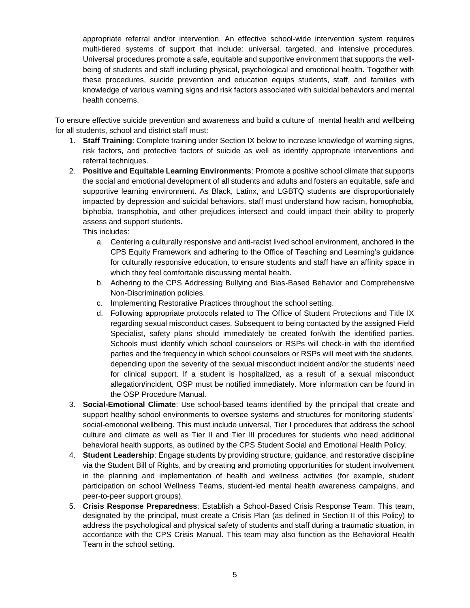appropriate referral and/or intervention. An effective school-wide intervention system requires multi-tiered systems of support that include: universal, targeted, and intensive procedures. Universal procedures promote a safe, equitable and supportive environment that supports the wellbeing of students and staff including physical, psychological and emotional health. Together with these procedures, suicide prevention and education equips students, staff, and families with knowledge of various warning signs and risk factors associated with suicidal behaviors and mental health concerns.

To ensure effective suicide prevention and awareness and build a culture of mental health and wellbeing for all students, school and district staff must:

- 1. **Staff Training**: Complete training under Section IX below to increase knowledge of warning signs, risk factors, and protective factors of suicide as well as identify appropriate interventions and referral techniques.
- 2. **Positive and Equitable Learning Environments**: Promote a positive school climate that supports the social and emotional development of all students and adults and fosters an equitable, safe and supportive learning environment. As Black, Latinx, and LGBTQ students are disproportionately impacted by depression and suicidal behaviors, staff must understand how racism, homophobia, biphobia, transphobia, and other prejudices intersect and could impact their ability to properly assess and support students.

This includes:

- a. Centering a culturally responsive and anti-racist lived school environment, anchored in the CPS Equity Framework and adhering to the Office of Teaching and Learning's guidance for culturally responsive education, to ensure students and staff have an affinity space in which they feel comfortable discussing mental health.
- b. Adhering to the CPS Addressing Bullying and Bias-Based Behavior and Comprehensive Non-Discrimination policies.
- c. Implementing Restorative Practices throughout the school setting.
- d. Following appropriate protocols related to The Office of Student Protections and Title IX regarding sexual misconduct cases. Subsequent to being contacted by the assigned Field Specialist, safety plans should immediately be created for/with the identified parties. Schools must identify which school counselors or RSPs will check-in with the identified parties and the frequency in which school counselors or RSPs will meet with the students, depending upon the severity of the sexual misconduct incident and/or the students' need for clinical support. If a student is hospitalized, as a result of a sexual misconduct allegation/incident, OSP must be notified immediately. More information can be found in the OSP Procedure Manual.
- 3. **Social-Emotional Climate**: Use school-based teams identified by the principal that create and support healthy school environments to oversee systems and structures for monitoring students' social-emotional wellbeing. This must include universal, Tier I procedures that address the school culture and climate as well as Tier II and Tier III procedures for students who need additional behavioral health supports, as outlined by the CPS Student Social and Emotional Health Policy.
- 4. **Student Leadership**: Engage students by providing structure, guidance, and restorative discipline via the Student Bill of Rights, and by creating and promoting opportunities for student involvement in the planning and implementation of health and wellness activities (for example, student participation on school Wellness Teams, student-led mental health awareness campaigns, and peer-to-peer support groups).
- 5. **Crisis Response Preparedness**: Establish a School-Based Crisis Response Team. This team, designated by the principal, must create a Crisis Plan (as defined in Section II of this Policy) to address the psychological and physical safety of students and staff during a traumatic situation, in accordance with the CPS Crisis Manual. This team may also function as the Behavioral Health Team in the school setting.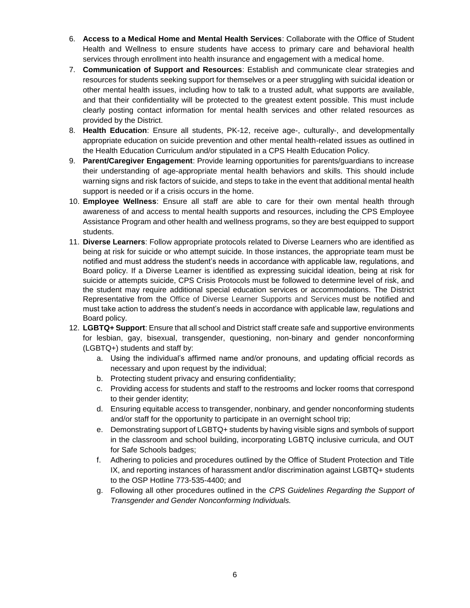- 6. **Access to a Medical Home and Mental Health Services**: Collaborate with the Office of Student Health and Wellness to ensure students have access to primary care and behavioral health services through enrollment into health insurance and engagement with a medical home.
- 7. **Communication of Support and Resources**: Establish and communicate clear strategies and resources for students seeking support for themselves or a peer struggling with suicidal ideation or other mental health issues, including how to talk to a trusted adult, what supports are available, and that their confidentiality will be protected to the greatest extent possible. This must include clearly posting contact information for mental health services and other related resources as provided by the District.
- 8. **Health Education**: Ensure all students, PK-12, receive age-, culturally-, and developmentally appropriate education on suicide prevention and other mental health-related issues as outlined in the Health Education Curriculum and/or stipulated in a CPS Health Education Policy.
- 9. **Parent/Caregiver Engagement**: Provide learning opportunities for parents/guardians to increase their understanding of age-appropriate mental health behaviors and skills. This should include warning signs and risk factors of suicide, and steps to take in the event that additional mental health support is needed or if a crisis occurs in the home.
- 10. **Employee Wellness**: Ensure all staff are able to care for their own mental health through awareness of and access to mental health supports and resources, including the CPS Employee Assistance Program and other health and wellness programs, so they are best equipped to support students.
- 11. **Diverse Learners**: Follow appropriate protocols related to Diverse Learners who are identified as being at risk for suicide or who attempt suicide. In those instances, the appropriate team must be notified and must address the student's needs in accordance with applicable law, regulations, and Board policy. If a Diverse Learner is identified as expressing suicidal ideation, being at risk for suicide or attempts suicide, CPS Crisis Protocols must be followed to determine level of risk, and the student may require additional special education services or accommodations. The District Representative from the Office of Diverse Learner Supports and Services must be notified and must take action to address the student's needs in accordance with applicable law, regulations and Board policy.
- 12. **LGBTQ+ Support**: Ensure that all school and District staff create safe and supportive environments for lesbian, gay, bisexual, transgender, questioning, non-binary and gender nonconforming (LGBTQ+) students and staff by:
	- a. Using the individual's affirmed name and/or pronouns, and updating official records as necessary and upon request by the individual;
	- b. Protecting student privacy and ensuring confidentiality;
	- c. Providing access for students and staff to the restrooms and locker rooms that correspond to their gender identity;
	- d. Ensuring equitable access to transgender, nonbinary, and gender nonconforming students and/or staff for the opportunity to participate in an overnight school trip;
	- e. Demonstrating support of LGBTQ+ students by having visible signs and symbols of support in the classroom and school building, incorporating LGBTQ inclusive curricula, and OUT for Safe Schools badges;
	- f. Adhering to policies and procedures outlined by the Office of Student Protection and Title IX, and reporting instances of harassment and/or discrimination against LGBTQ+ students to the OSP Hotline 773-535-4400; and
	- g. Following all other procedures outlined in the *CPS Guidelines Regarding the Support of Transgender and Gender Nonconforming Individuals.*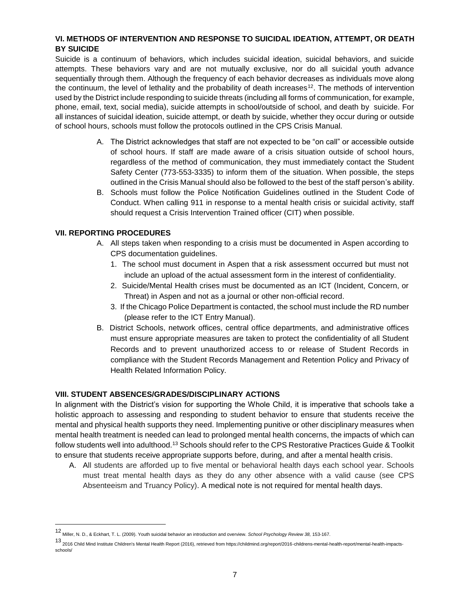## **VI. METHODS OF INTERVENTION AND RESPONSE TO SUICIDAL IDEATION, ATTEMPT, OR DEATH BY SUICIDE**

Suicide is a continuum of behaviors, which includes suicidal ideation, suicidal behaviors, and suicide attempts. These behaviors vary and are not mutually exclusive, nor do all suicidal youth advance sequentially through them. Although the frequency of each behavior decreases as individuals move along the continuum, the level of lethality and the probability of death increases<sup>12</sup>. The methods of intervention used by the District include responding to suicide threats (including all forms of communication, for example, phone, email, text, social media), suicide attempts in school/outside of school, and death by suicide. For all instances of suicidal ideation, suicide attempt, or death by suicide, whether they occur during or outside of school hours, schools must follow the protocols outlined in the CPS Crisis Manual.

- A. The District acknowledges that staff are not expected to be "on call" or accessible outside of school hours. If staff are made aware of a crisis situation outside of school hours, regardless of the method of communication, they must immediately contact the Student Safety Center (773-553-3335) to inform them of the situation. When possible, the steps outlined in the Crisis Manual should also be followed to the best of the staff person's ability.
- B. Schools must follow the Police Notification Guidelines outlined in the Student Code of Conduct. When calling 911 in response to a mental health crisis or suicidal activity, staff should request a Crisis Intervention Trained officer (CIT) when possible.

## **VII. REPORTING PROCEDURES**

- A. All steps taken when responding to a crisis must be documented in Aspen according to CPS documentation guidelines.
	- 1. The school must document in Aspen that a risk assessment occurred but must not include an upload of the actual assessment form in the interest of confidentiality.
	- 2. Suicide/Mental Health crises must be documented as an ICT (Incident, Concern, or Threat) in Aspen and not as a journal or other non-official record.
	- 3. If the Chicago Police Department is contacted, the school must include the RD number (please refer to the [ICT Entry Manual\)](https://docs.google.com/document/d/1McPbupeYI6jtAMqhExVnR6jVPWnMzXpf--Ha--6jM8k/preview).
- B. District Schools, network offices, central office departments, and administrative offices must ensure appropriate measures are taken to protect the confidentiality of all Student Records and to prevent unauthorized access to or release of Student Records in compliance with the Student Records Management and Retention Policy and Privacy of Health Related Information Policy.

## **VIII. STUDENT ABSENCES/GRADES/DISCIPLINARY ACTIONS**

In alignment with the District's vision for supporting the Whole Child, it is imperative that schools take a holistic approach to assessing and responding to student behavior to ensure that students receive the mental and physical health supports they need. Implementing punitive or other disciplinary measures when mental health treatment is needed can lead to prolonged mental health concerns, the impacts of which can follow students well into adulthood.<sup>13</sup> Schools should refer to the CPS Restorative Practices Guide & Toolkit to ensure that students receive appropriate supports before, during, and after a mental health crisis.

A. All students are afforded up to five mental or behavioral health days each school year. Schools must treat mental health days as they do any other absence with a valid cause (see CPS Absenteeism and Truancy Policy). A medical note is not required for mental health days.

<sup>12</sup> Miller, N. D., & Eckhart, T. L. (2009). Youth suicidal behavior an introduction and overview. *School Psychology Review 38,* 153-167.

<sup>13</sup> 2016 Child Mind Institute Children's Mental Health Report (2016), retrieved from https://childmind.org/report/2016-childrens-mental-health-report/mental-health-impactsschools/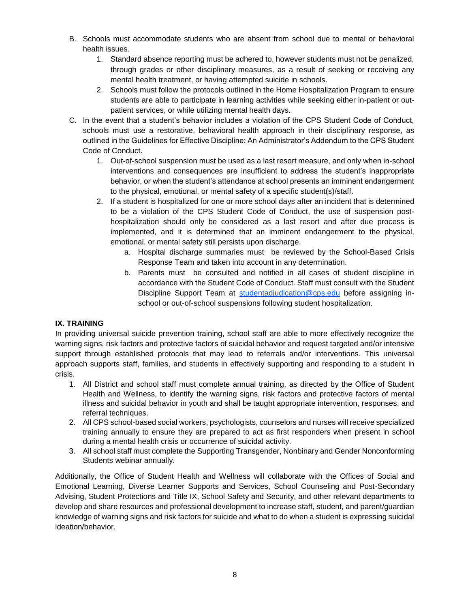- B. Schools must accommodate students who are absent from school due to mental or behavioral health issues.
	- 1. Standard absence reporting must be adhered to, however students must not be penalized, through grades or other disciplinary measures, as a result of seeking or receiving any mental health treatment, or having attempted suicide in schools.
	- 2. Schools must follow the protocols outlined in the Home Hospitalization Program to ensure students are able to participate in learning activities while seeking either in-patient or outpatient services, or while utilizing mental health days.
- C. In the event that a student's behavior includes a violation of the CPS Student Code of Conduct, schools must use a restorative, behavioral health approach in their disciplinary response, as outlined in the Guidelines for Effective Discipline: An Administrator's Addendum to the CPS Student Code of Conduct.
	- 1. Out-of-school suspension must be used as a last resort measure, and only when in-school interventions and consequences are insufficient to address the student's inappropriate behavior, or when the student's attendance at school presents an imminent endangerment to the physical, emotional, or mental safety of a specific student(s)/staff.
	- 2. If a student is hospitalized for one or more school days after an incident that is determined to be a violation of the CPS Student Code of Conduct, the use of suspension posthospitalization should only be considered as a last resort and after due process is implemented, and it is determined that an imminent endangerment to the physical, emotional, or mental safety still persists upon discharge.
		- a. Hospital discharge summaries must be reviewed by the School-Based Crisis Response Team and taken into account in any determination.
		- b. Parents must be consulted and notified in all cases of student discipline in accordance with the Student Code of Conduct. Staff must consult with the Student Discipline Support Team at [studentadjudication@cps.edu](mailto:studentadjudication@cps.edu) before assigning inschool or out-of-school suspensions following student hospitalization.

## **IX. TRAINING**

In providing universal suicide prevention training, school staff are able to more effectively recognize the warning signs, risk factors and protective factors of suicidal behavior and request targeted and/or intensive support through established protocols that may lead to referrals and/or interventions. This universal approach supports staff, families, and students in effectively supporting and responding to a student in crisis.

- 1. All District and school staff must complete annual training, as directed by the Office of Student Health and Wellness, to identify the warning signs, risk factors and protective factors of mental illness and suicidal behavior in youth and shall be taught appropriate intervention, responses, and referral techniques.
- 2. All CPS school-based social workers, psychologists, counselors and nurses will receive specialized training annually to ensure they are prepared to act as first responders when present in school during a mental health crisis or occurrence of suicidal activity.
- 3. All school staff must complete the Supporting Transgender, Nonbinary and Gender Nonconforming Students webinar annually.

Additionally, the Office of Student Health and Wellness will collaborate with the Offices of Social and Emotional Learning, Diverse Learner Supports and Services, School Counseling and Post-Secondary Advising, Student Protections and Title IX, School Safety and Security, and other relevant departments to develop and share resources and professional development to increase staff, student, and parent/guardian knowledge of warning signs and risk factors for suicide and what to do when a student is expressing suicidal ideation/behavior.